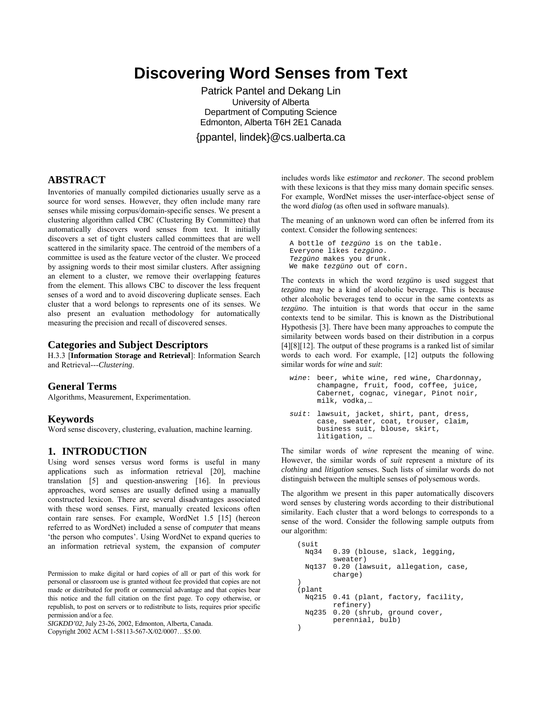# **Discovering Word Senses from Text**

Patrick Pantel and Dekang Lin University of Alberta Department of Computing Science Edmonton, Alberta T6H 2E1 Canada

{ppantel, lindek}@cs.ualberta.ca

# **ABSTRACT**

Inventories of manually compiled dictionaries usually serve as a source for word senses. However, they often include many rare senses while missing corpus/domain-specific senses. We present a clustering algorithm called CBC (Clustering By Committee) that automatically discovers word senses from text. It initially discovers a set of tight clusters called committees that are well scattered in the similarity space. The centroid of the members of a committee is used as the feature vector of the cluster. We proceed by assigning words to their most similar clusters. After assigning an element to a cluster, we remove their overlapping features from the element. This allows CBC to discover the less frequent senses of a word and to avoid discovering duplicate senses. Each cluster that a word belongs to represents one of its senses. We also present an evaluation methodology for automatically measuring the precision and recall of discovered senses.

## **Categories and Subject Descriptors**

H.3.3 [**Information Storage and Retrieval**]: Information Search and Retrieval---*Clustering*.

#### **General Terms**

Algorithms, Measurement, Experimentation.

## **Keywords**

Word sense discovery, clustering, evaluation, machine learning.

### **1. INTRODUCTION**

Using word senses versus word forms is useful in many applications such as information retrieval [20], machine translation [5] and question-answering [16]. In previous approaches, word senses are usually defined using a manually constructed lexicon. There are several disadvantages associated with these word senses. First, manually created lexicons often contain rare senses. For example, WordNet 1.5 [15] (hereon referred to as WordNet) included a sense of *computer* that means 'the person who computes'. Using WordNet to expand queries to an information retrieval system, the expansion of *computer* 

Permission to make digital or hard copies of all or part of this work for personal or classroom use is granted without fee provided that copies are not made or distributed for profit or commercial advantage and that copies bear this notice and the full citation on the first page. To copy otherwise, or republish, to post on servers or to redistribute to lists, requires prior specific permission and/or a fee.

*SIGKDD'02*, July 23-26, 2002, Edmonton, Alberta, Canada.

Copyright 2002 ACM 1-58113-567-X/02/0007...\$5.00.

includes words like *estimator* and *reckoner*. The second problem with these lexicons is that they miss many domain specific senses. For example, WordNet misses the user-interface-object sense of the word *dialog* (as often used in software manuals).

The meaning of an unknown word can often be inferred from its context. Consider the following sentences:

A bottle of *tezgüno* is on the table. Everyone likes *tezgüno*. *Tezgüno* makes you drunk. We make *tezgüno* out of corn.

The contexts in which the word *tezgüno* is used suggest that *tezgüno* may be a kind of alcoholic beverage. This is because other alcoholic beverages tend to occur in the same contexts as *tezgüno*. The intuition is that words that occur in the same contexts tend to be similar. This is known as the Distributional Hypothesis [3]. There have been many approaches to compute the similarity between words based on their distribution in a corpus [4][8][12]. The output of these programs is a ranked list of similar words to each word. For example, [12] outputs the following similar words for *wine* and *suit*:

```
wine: beer, white wine, red wine, Chardonnay, 
      champagne, fruit, food, coffee, juice, 
      Cabernet, cognac, vinegar, Pinot noir, 
      milk, vodka,… 
suit: lawsuit, jacket, shirt, pant, dress, 
       case, sweater, coat, trouser, claim, 
       business suit, blouse, skirt, 
      litigation, …
```
The similar words of *wine* represent the meaning of wine. However, the similar words of *suit* represent a mixture of its *clothing* and *litigation* senses. Such lists of similar words do not distinguish between the multiple senses of polysemous words.

The algorithm we present in this paper automatically discovers word senses by clustering words according to their distributional similarity. Each cluster that a word belongs to corresponds to a sense of the word. Consider the following sample outputs from our algorithm:

```
(suit 
        0.39 (blouse, slack, legging,
        sweater) 
 Nq137 0.20 (lawsuit, allegation, case, 
         charge)
) 
(plant 
 Nq215 0.41 (plant, factory, facility, 
        refinery) 
 Nq235 0.20 (shrub, ground cover, 
        perennial, bulb) 
\lambda
```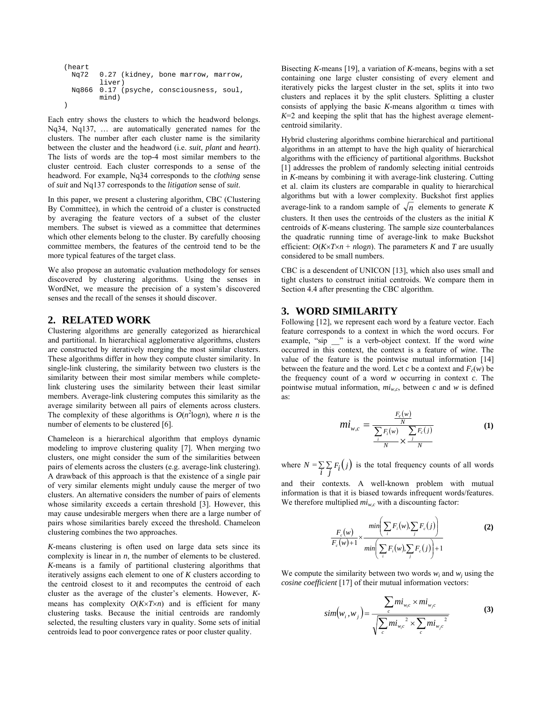```
(heart<br>Ng72
         0.27 (kidney, bone marrow, marrow,
         liver) 
 Nq866 0.17 (psyche, consciousness, soul, 
         mind) 
)
```
Each entry shows the clusters to which the headword belongs. Nq34, Nq137,  $\ldots$  are automatically generated names for the clusters. The number after each cluster name is the similarity between the cluster and the headword (i.e. *suit*, *plant* and *heart*). The lists of words are the top-4 most similar members to the cluster centroid. Each cluster corresponds to a sense of the headword. For example, Nq34 corresponds to the *clothing* sense of *suit* and Nq137 corresponds to the *litigation* sense of *suit*.

In this paper, we present a clustering algorithm, CBC (Clustering By Committee), in which the centroid of a cluster is constructed by averaging the feature vectors of a subset of the cluster members. The subset is viewed as a committee that determines which other elements belong to the cluster. By carefully choosing committee members, the features of the centroid tend to be the more typical features of the target class.

We also propose an automatic evaluation methodology for senses discovered by clustering algorithms. Using the senses in WordNet, we measure the precision of a system's discovered senses and the recall of the senses it should discover.

## **2. RELATED WORK**

Clustering algorithms are generally categorized as hierarchical and partitional. In hierarchical agglomerative algorithms, clusters are constructed by iteratively merging the most similar clusters. These algorithms differ in how they compute cluster similarity. In single-link clustering, the similarity between two clusters is the similarity between their most similar members while completelink clustering uses the similarity between their least similar members. Average-link clustering computes this similarity as the average similarity between all pairs of elements across clusters. The complexity of these algorithms is  $O(n^2 \log n)$ , where *n* is the number of elements to be clustered [6].

Chameleon is a hierarchical algorithm that employs dynamic modeling to improve clustering quality [7]. When merging two clusters, one might consider the sum of the similarities between pairs of elements across the clusters (e.g. average-link clustering). A drawback of this approach is that the existence of a single pair of very similar elements might unduly cause the merger of two clusters. An alternative considers the number of pairs of elements whose similarity exceeds a certain threshold [3]. However, this may cause undesirable mergers when there are a large number of pairs whose similarities barely exceed the threshold. Chameleon clustering combines the two approaches.

*K*-means clustering is often used on large data sets since its complexity is linear in *n*, the number of elements to be clustered. *K*-means is a family of partitional clustering algorithms that iteratively assigns each element to one of *K* clusters according to the centroid closest to it and recomputes the centroid of each cluster as the average of the cluster's elements. However, *K*means has complexity  $O(K \times T \times n)$  and is efficient for many clustering tasks. Because the initial centroids are randomly selected, the resulting clusters vary in quality. Some sets of initial centroids lead to poor convergence rates or poor cluster quality.

Bisecting *K*-means [19], a variation of *K*-means, begins with a set containing one large cluster consisting of every element and iteratively picks the largest cluster in the set, splits it into two clusters and replaces it by the split clusters. Splitting a cluster consists of applying the basic *K*-means algorithm  $\alpha$  times with  $K=2$  and keeping the split that has the highest average elementcentroid similarity.

Hybrid clustering algorithms combine hierarchical and partitional algorithms in an attempt to have the high quality of hierarchical algorithms with the efficiency of partitional algorithms. Buckshot [1] addresses the problem of randomly selecting initial centroids in *K*-means by combining it with average-link clustering. Cutting et al. claim its clusters are comparable in quality to hierarchical algorithms but with a lower complexity. Buckshot first applies average-link to a random sample of  $\sqrt{n}$  elements to generate *K* clusters. It then uses the centroids of the clusters as the initial *K* centroids of *K*-means clustering. The sample size counterbalances the quadratic running time of average-link to make Buckshot efficient:  $O(K \times T \times n + n \log n)$ . The parameters *K* and *T* are usually considered to be small numbers.

CBC is a descendent of UNICON [13], which also uses small and tight clusters to construct initial centroids. We compare them in Section 4.4 after presenting the CBC algorithm.

## **3. WORD SIMILARITY**

Following [12], we represent each word by a feature vector. Each feature corresponds to a context in which the word occurs. For example, "sip \_\_" is a verb-object context. If the word *wine* occurred in this context, the context is a feature of *wine*. The value of the feature is the pointwise mutual information [14] between the feature and the word. Let *c* be a context and  $F_c(w)$  be the frequency count of a word *w* occurring in context *c*. The pointwise mutual information,  $mi_{w,c}$ , between *c* and *w* is defined as:

$$
mi_{w,c} = \frac{\frac{F_c(w)}{N}}{\frac{\sum_{i} F_i(w)}{N} \times \frac{\sum_{i} F_c(j)}{N}}
$$
(1)

where  $N = \sum_{i} \sum_{j} F_i(j)$  is the total frequency counts of all words

and their contexts. A well-known problem with mutual information is that it is biased towards infrequent words/features. We therefore multiplied  $mi_{w,c}$  with a discounting factor:

$$
\frac{F_c(w)}{F_c(w)+1} \times \frac{min\left(\sum_i F_i(w), \sum_j F_c(j)\right)}{min\left(\sum_i F_i(w), \sum_j F_c(j)\right)+1}
$$
\n(2)

We compute the similarity between two words  $w_i$  and  $w_j$  using the *cosine coefficient* [17] of their mutual information vectors:

$$
sim(w_i, w_j) = \frac{\sum_c m i_{w_ic} \times m i_{w_jc}}{\sqrt{\sum_c m i_{w_ic}^2 \times \sum_c m i_{w_jc}^2}}
$$
(3)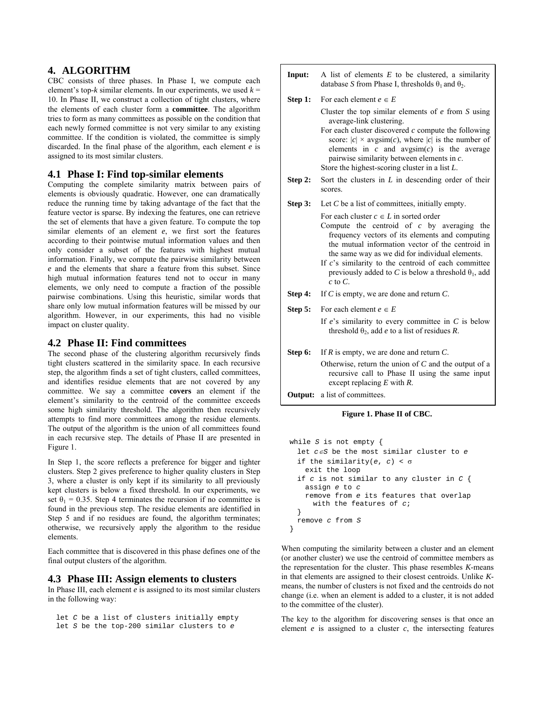## **4. ALGORITHM**

CBC consists of three phases. In Phase I, we compute each element's top- $k$  similar elements. In our experiments, we used  $k =$ 10. In Phase II, we construct a collection of tight clusters, where the elements of each cluster form a **committee**. The algorithm tries to form as many committees as possible on the condition that each newly formed committee is not very similar to any existing committee. If the condition is violated, the committee is simply discarded. In the final phase of the algorithm, each element *e* is assigned to its most similar clusters.

#### **4.1 Phase I: Find top-similar elements**

Computing the complete similarity matrix between pairs of elements is obviously quadratic. However, one can dramatically reduce the running time by taking advantage of the fact that the feature vector is sparse. By indexing the features, one can retrieve the set of elements that have a given feature. To compute the top similar elements of an element *e*, we first sort the features according to their pointwise mutual information values and then only consider a subset of the features with highest mutual information. Finally, we compute the pairwise similarity between *e* and the elements that share a feature from this subset. Since high mutual information features tend not to occur in many elements, we only need to compute a fraction of the possible pairwise combinations. Using this heuristic, similar words that share only low mutual information features will be missed by our algorithm. However, in our experiments, this had no visible impact on cluster quality.

## **4.2 Phase II: Find committees**

The second phase of the clustering algorithm recursively finds tight clusters scattered in the similarity space. In each recursive step, the algorithm finds a set of tight clusters, called committees, and identifies residue elements that are not covered by any committee. We say a committee **covers** an element if the element's similarity to the centroid of the committee exceeds some high similarity threshold. The algorithm then recursively attempts to find more committees among the residue elements. The output of the algorithm is the union of all committees found in each recursive step. The details of Phase II are presented in Figure 1.

In Step 1, the score reflects a preference for bigger and tighter clusters. Step 2 gives preference to higher quality clusters in Step 3, where a cluster is only kept if its similarity to all previously kept clusters is below a fixed threshold. In our experiments, we set  $\theta_1 = 0.35$ . Step 4 terminates the recursion if no committee is found in the previous step. The residue elements are identified in Step 5 and if no residues are found, the algorithm terminates; otherwise, we recursively apply the algorithm to the residue elements.

Each committee that is discovered in this phase defines one of the final output clusters of the algorithm.

## **4.3 Phase III: Assign elements to clusters**

In Phase III, each element *e* is assigned to its most similar clusters in the following way:

```
let C be a list of clusters initially empty 
let S be the top-200 similar clusters to e
```

|                    | database S from Phase I, thresholds $\theta_1$ and $\theta_2$ .                                                                                                                                                                                                                                                                                                                                                                                                                     |  |  |
|--------------------|-------------------------------------------------------------------------------------------------------------------------------------------------------------------------------------------------------------------------------------------------------------------------------------------------------------------------------------------------------------------------------------------------------------------------------------------------------------------------------------|--|--|
| Step 1:<br>Step 2: | For each element $e \in E$<br>Cluster the top similar elements of $e$ from $S$ using<br>average-link clustering.<br>For each cluster discovered $c$ compute the following<br>score: $ c  \times \text{avgsim}(c)$ , where $ c $ is the number of<br>elements in $c$ and $\text{avgsim}(c)$ is the average<br>pairwise similarity between elements in $c$ .<br>Store the highest-scoring cluster in a list $L$ .<br>Sort the clusters in $L$ in descending order of their<br>scores. |  |  |
| Step 3:            | Let $C$ be a list of committees, initially empty.<br>For each cluster $c \in L$ in sorted order<br>Compute the centroid of $c$ by averaging the<br>frequency vectors of its elements and computing<br>the mutual information vector of the centroid in<br>the same way as we did for individual elements.<br>If $c$ 's similarity to the centroid of each committee<br>previously added to C is below a threshold $\theta_1$ , add<br>$c$ to $C$ .                                  |  |  |
| Step 4:            | If $C$ is empty, we are done and return $C$ .                                                                                                                                                                                                                                                                                                                                                                                                                                       |  |  |
| Step 5:            | For each element $e \in E$<br>If $e$ 's similarity to every committee in $C$ is below<br>threshold $\theta_2$ , add <i>e</i> to a list of residues <i>R</i> .                                                                                                                                                                                                                                                                                                                       |  |  |
| Step 6:            | If R is empty, we are done and return $C$ .<br>Otherwise, return the union of $C$ and the output of a<br>recursive call to Phase II using the same input<br>except replacing $E$ with $R$ .                                                                                                                                                                                                                                                                                         |  |  |
| Output:            | a list of committees.                                                                                                                                                                                                                                                                                                                                                                                                                                                               |  |  |

**Input:** A list of elements *E* to be clustered, a similarity

#### **Figure 1. Phase II of CBC.**

```
while S is not empty { 
 let c∈S be the most similar cluster to e 
 if the similarity(e, c) < σ
   exit the loop 
 if c is not similar to any cluster in C { 
   assign e to c
   remove from e its features that overlap 
     with the features of c; 
  } 
 remove c from S
}
```
When computing the similarity between a cluster and an element (or another cluster) we use the centroid of committee members as the representation for the cluster. This phase resembles *K*-means in that elements are assigned to their closest centroids. Unlike *K*means, the number of clusters is not fixed and the centroids do not change (i.e. when an element is added to a cluster, it is not added to the committee of the cluster).

The key to the algorithm for discovering senses is that once an element  $e$  is assigned to a cluster  $c$ , the intersecting features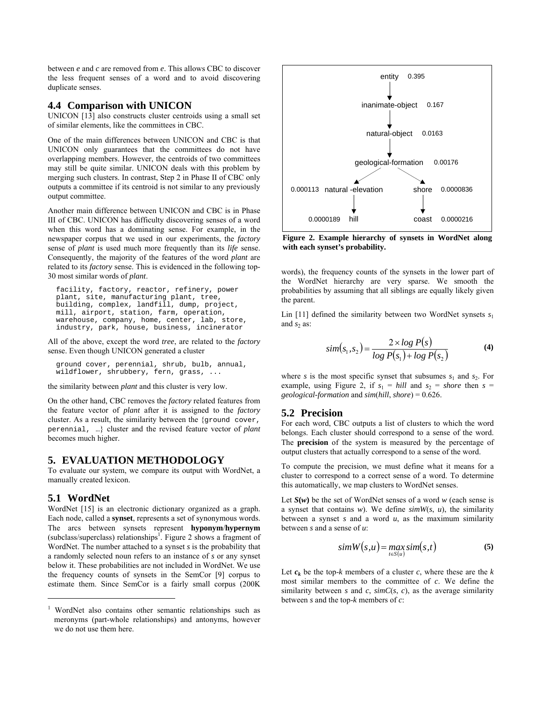between *e* and *c* are removed from *e*. This allows CBC to discover the less frequent senses of a word and to avoid discovering duplicate senses.

### **4.4 Comparison with UNICON**

UNICON [13] also constructs cluster centroids using a small set of similar elements, like the committees in CBC.

One of the main differences between UNICON and CBC is that UNICON only guarantees that the committees do not have overlapping members. However, the centroids of two committees may still be quite similar. UNICON deals with this problem by merging such clusters. In contrast, Step 2 in Phase II of CBC only outputs a committee if its centroid is not similar to any previously output committee.

Another main difference between UNICON and CBC is in Phase III of CBC. UNICON has difficulty discovering senses of a word when this word has a dominating sense. For example, in the newspaper corpus that we used in our experiments, the *factory* sense of *plant* is used much more frequently than its *life* sense. Consequently, the majority of the features of the word *plant* are related to its *factory* sense. This is evidenced in the following top-30 most similar words of *plant*.

```
facility, factory, reactor, refinery, power 
plant, site, manufacturing plant, tree, 
building, complex, landfill, dump, project, 
mill, airport, station, farm, operation, 
warehouse, company, home, center, lab, store, 
industry, park, house, business, incinerator
```
All of the above, except the word *tree*, are related to the *factory* sense. Even though UNICON generated a cluster

ground cover, perennial, shrub, bulb, annual, wildflower, shrubbery, fern, grass, ...

the similarity between *plant* and this cluster is very low.

On the other hand, CBC removes the *factory* related features from the feature vector of *plant* after it is assigned to the *factory* cluster. As a result, the similarity between the {ground cover, perennial, …} cluster and the revised feature vector of *plant* becomes much higher.

#### **5. EVALUATION METHODOLOGY**

To evaluate our system, we compare its output with WordNet, a manually created lexicon.

## **5.1 WordNet**

l

WordNet [15] is an electronic dictionary organized as a graph. Each node, called a **synset**, represents a set of synonymous words. The arcs between synsets represent **hyponym**/**hypernym**  (subclass/superclass) relationships<sup>1</sup>. Figure 2 shows a fragment of WordNet. The number attached to a synset *s* is the probability that a randomly selected noun refers to an instance of *s* or any synset below it. These probabilities are not included in WordNet. We use the frequency counts of synsets in the SemCor [9] corpus to estimate them. Since SemCor is a fairly small corpus (200K



**Figure 2. Example hierarchy of synsets in WordNet along with each synset's probability.** 

words), the frequency counts of the synsets in the lower part of the WordNet hierarchy are very sparse. We smooth the probabilities by assuming that all siblings are equally likely given the parent.

Lin [11] defined the similarity between two WordNet synsets  $s_1$ and  $s_2$  as:

$$
sim(s_1, s_2) = \frac{2 \times \log P(s)}{\log P(s_1) + \log P(s_2)}
$$
 (4)

where *s* is the most specific synset that subsumes  $s_1$  and  $s_2$ . For example, using Figure 2, if  $s_1 = \text{hill}$  and  $s_2 = \text{shore}$  then  $s =$ *geological-formation* and *sim*(*hill*, *shore*) = 0.626.

#### **5.2 Precision**

For each word, CBC outputs a list of clusters to which the word belongs. Each cluster should correspond to a sense of the word. The **precision** of the system is measured by the percentage of output clusters that actually correspond to a sense of the word.

To compute the precision, we must define what it means for a cluster to correspond to a correct sense of a word. To determine this automatically, we map clusters to WordNet senses.

Let  $S(w)$  be the set of WordNet senses of a word *w* (each sense is a synset that contains *w*). We define  $\sin(W(s, u))$ , the similarity between a synset *s* and a word *u*, as the maximum similarity between *s* and a sense of *u*:

$$
simW(s, u) = \max_{t \in S(u)} sim(s, t)
$$
 (5)

Let  $c_k$  be the top-*k* members of a cluster *c*, where these are the *k* most similar members to the committee of *c*. We define the similarity between *s* and *c*,  $\text{sim}(s, c)$ , as the average similarity between *s* and the top-*k* members of *c*:

<sup>1</sup> WordNet also contains other semantic relationships such as meronyms (part-whole relationships) and antonyms, however we do not use them here.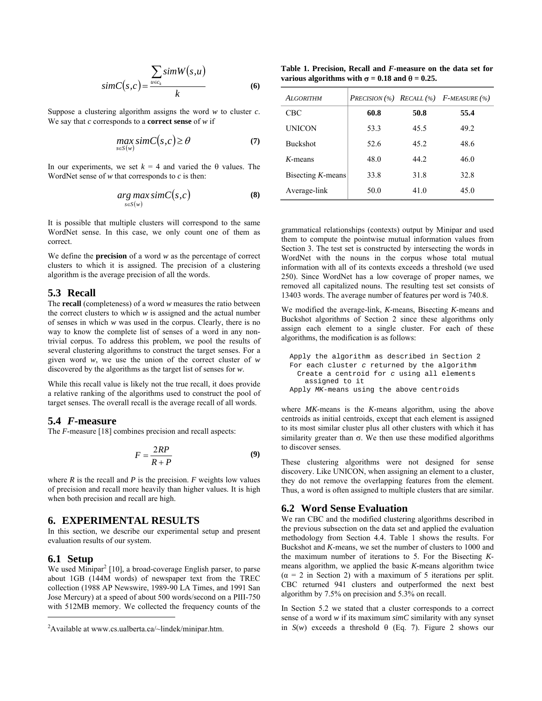$$
simC(s,c) = \frac{\sum_{u \in c_k} simW(s,u)}{k}
$$
 (6)

Suppose a clustering algorithm assigns the word *w* to cluster *c*. We say that *c* corresponds to a **correct sense** of *w* if

$$
\max_{s \in S(w)} simC(s, c) \ge \theta \tag{7}
$$

In our experiments, we set  $k = 4$  and varied the  $\theta$  values. The WordNet sense of *w* that corresponds to *c* is then:

$$
\underset{s \in S(w)}{\arg \max} \, \text{sim} \, C(s,c) \tag{8}
$$

It is possible that multiple clusters will correspond to the same WordNet sense. In this case, we only count one of them as correct.

We define the **precision** of a word *w* as the percentage of correct clusters to which it is assigned. The precision of a clustering algorithm is the average precision of all the words.

## **5.3 Recall**

The **recall** (completeness) of a word *w* measures the ratio between the correct clusters to which *w* is assigned and the actual number of senses in which *w* was used in the corpus. Clearly, there is no way to know the complete list of senses of a word in any nontrivial corpus. To address this problem, we pool the results of several clustering algorithms to construct the target senses. For a given word *w*, we use the union of the correct cluster of *w* discovered by the algorithms as the target list of senses for *w*.

While this recall value is likely not the true recall, it does provide a relative ranking of the algorithms used to construct the pool of target senses. The overall recall is the average recall of all words.

#### **5.4** *F***-measure**

The *F*-measure [18] combines precision and recall aspects:

$$
F = \frac{2RP}{R+P} \tag{9}
$$

where  $R$  is the recall and  $P$  is the precision.  $F$  weights low values of precision and recall more heavily than higher values. It is high when both precision and recall are high.

#### **6. EXPERIMENTAL RESULTS**

In this section, we describe our experimental setup and present evaluation results of our system.

#### **6.1 Setup**

 $\overline{a}$ 

We used Minipar<sup>2</sup> [10], a broad-coverage English parser, to parse about 1GB (144M words) of newspaper text from the TREC collection (1988 AP Newswire, 1989-90 LA Times, and 1991 San Jose Mercury) at a speed of about 500 words/second on a PIII-750 with 512MB memory. We collected the frequency counts of the

**Table 1. Precision, Recall and** *F***-measure on the data set for various algorithms with**  $\sigma$  **= 0.18 and**  $\theta$  **= 0.25.** 

| <b>ALGORITHM</b>     | $PRECISION (\%)$ $RECALL (\%)$ |      | $F$ -MEASURE $(\% )$ |
|----------------------|--------------------------------|------|----------------------|
| CBC                  | 60.8                           | 50.8 | 55.4                 |
| UNICON               | 53.3                           | 45.5 | 49.2                 |
| <b>Buckshot</b>      | 52.6                           | 45.2 | 48.6                 |
| $K$ -means           | 48.0                           | 44.2 | 46.0                 |
| Bisecting $K$ -means | 33.8                           | 31.8 | 32.8                 |
| Average-link         | 50.0                           | 41.0 | 45.0                 |

grammatical relationships (contexts) output by Minipar and used them to compute the pointwise mutual information values from Section 3. The test set is constructed by intersecting the words in WordNet with the nouns in the corpus whose total mutual information with all of its contexts exceeds a threshold (we used 250). Since WordNet has a low coverage of proper names, we removed all capitalized nouns. The resulting test set consists of 13403 words. The average number of features per word is 740.8.

We modified the average-link, *K*-means, Bisecting *K*-means and Buckshot algorithms of Section 2 since these algorithms only assign each element to a single cluster. For each of these algorithms, the modification is as follows:

Apply the algorithm as described in Section 2 For each cluster *c* returned by the algorithm Create a centroid for *c* using all elements assigned to it Apply *MK*-means using the above centroids

where *MK*-means is the *K*-means algorithm, using the above centroids as initial centroids, except that each element is assigned to its most similar cluster plus all other clusters with which it has similarity greater than  $\sigma$ . We then use these modified algorithms to discover senses.

These clustering algorithms were not designed for sense discovery. Like UNICON, when assigning an element to a cluster, they do not remove the overlapping features from the element. Thus, a word is often assigned to multiple clusters that are similar.

#### **6.2 Word Sense Evaluation**

We ran CBC and the modified clustering algorithms described in the previous subsection on the data set and applied the evaluation methodology from Section 4.4. Table 1 shows the results. For Buckshot and *K*-means, we set the number of clusters to 1000 and the maximum number of iterations to 5. For the Bisecting *K*means algorithm, we applied the basic *K*-means algorithm twice  $(\alpha = 2$  in Section 2) with a maximum of 5 iterations per split. CBC returned 941 clusters and outperformed the next best algorithm by 7.5% on precision and 5.3% on recall.

In Section 5.2 we stated that a cluster corresponds to a correct sense of a word *w* if its maximum *simC* similarity with any synset in  $S(w)$  exceeds a threshold  $\theta$  (Eq. 7). Figure 2 shows our

<sup>&</sup>lt;sup>2</sup>Available at www.cs.ualberta.ca/~lindek/minipar.htm.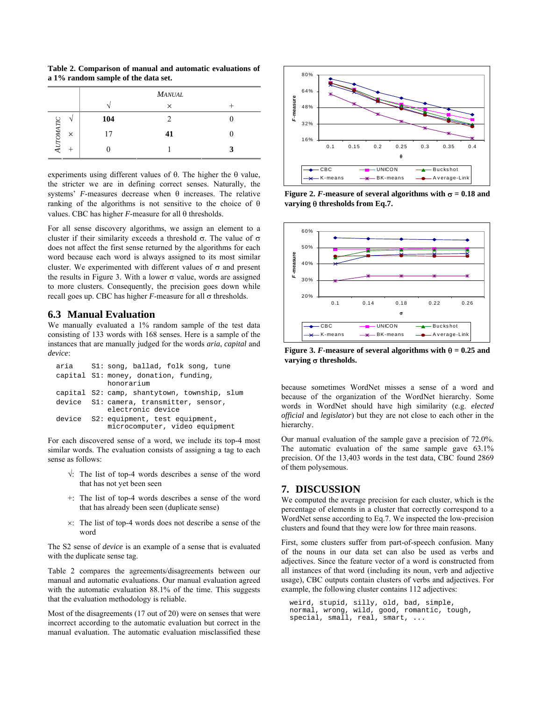**Table 2. Comparison of manual and automatic evaluations of a 1% random sample of the data set.** 

|                               | <b>MANUAL</b>   |    |  |
|-------------------------------|-----------------|----|--|
|                               |                 | ×  |  |
|                               | 104             |    |  |
| <b>А</b> UTOMATIC<br>$\times$ | $\overline{17}$ | 41 |  |
|                               |                 |    |  |

experiments using different values of θ. The higher the θ value, the stricter we are in defining correct senses. Naturally, the systems<sup> $\cdot$ </sup> *F*-measures decrease when θ increases. The relative ranking of the algorithms is not sensitive to the choice of  $\theta$ values. CBC has higher *F*-measure for all θ thresholds.

For all sense discovery algorithms, we assign an element to a cluster if their similarity exceeds a threshold  $\sigma$ . The value of  $\sigma$ does not affect the first sense returned by the algorithms for each word because each word is always assigned to its most similar cluster. We experimented with different values of  $\sigma$  and present the results in Figure 3. With a lower  $\sigma$  value, words are assigned to more clusters. Consequently, the precision goes down while recall goes up. CBC has higher *F*-measure for all  $\sigma$  thresholds.

## **6.3 Manual Evaluation**

We manually evaluated a 1% random sample of the test data consisting of 133 words with 168 senses. Here is a sample of the instances that are manually judged for the words *aria*, *capital* and *device*:

|  | aria S1: song, ballad, folk song, tune                                  |
|--|-------------------------------------------------------------------------|
|  | capital S1: money, donation, funding,<br>honorarium                     |
|  | capital S2: camp, shantytown, township, slum                            |
|  | device S1: camera, transmitter, sensor,<br>electronic device            |
|  | device S2: equipment, test equipment,<br>microcomputer, video equipment |

For each discovered sense of a word, we include its top-4 most similar words. The evaluation consists of assigning a tag to each sense as follows:

- $\sqrt{2}$ : The list of top-4 words describes a sense of the word that has not yet been seen
- +: The list of top-4 words describes a sense of the word that has already been seen (duplicate sense)
- ×: The list of top-4 words does not describe a sense of the word

The S2 sense of *device* is an example of a sense that is evaluated with the duplicate sense tag.

Table 2 compares the agreements/disagreements between our manual and automatic evaluations. Our manual evaluation agreed with the automatic evaluation 88.1% of the time. This suggests that the evaluation methodology is reliable.

Most of the disagreements (17 out of 20) were on senses that were incorrect according to the automatic evaluation but correct in the manual evaluation. The automatic evaluation misclassified these



**Figure 2.** *F***-measure of several algorithms with**  $\sigma = 0.18$  **and varying** θ **thresholds from Eq.7.** 



**Figure 3.** *F***-measure of several algorithms with**  $\theta = 0.25$  **and varying** σ **thresholds.** 

because sometimes WordNet misses a sense of a word and because of the organization of the WordNet hierarchy. Some words in WordNet should have high similarity (e.g. *elected official* and *legislator*) but they are not close to each other in the hierarchy.

Our manual evaluation of the sample gave a precision of 72.0%. The automatic evaluation of the same sample gave 63.1% precision. Of the 13,403 words in the test data, CBC found 2869 of them polysemous.

## **7. DISCUSSION**

We computed the average precision for each cluster, which is the percentage of elements in a cluster that correctly correspond to a WordNet sense according to Eq.7. We inspected the low-precision clusters and found that they were low for three main reasons.

First, some clusters suffer from part-of-speech confusion. Many of the nouns in our data set can also be used as verbs and adjectives. Since the feature vector of a word is constructed from all instances of that word (including its noun, verb and adjective usage), CBC outputs contain clusters of verbs and adjectives. For example, the following cluster contains 112 adjectives:

```
weird, stupid, silly, old, bad, simple, 
normal, wrong, wild, good, romantic, tough, 
special, small, real, smart, ...
```